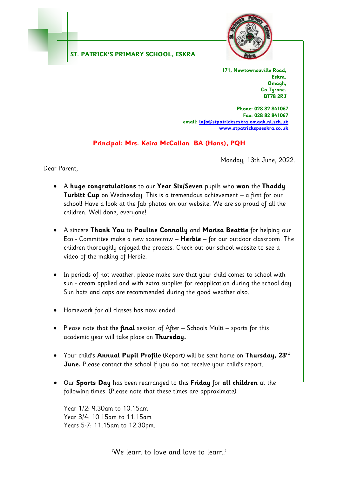#### **ST. PATRICK'S PRIMARY SCHOOL, ESKRA**



**171, Newtownsaville Road, Eskra, Omagh, Co Tyrone. BT78 2RJ**

**Phone: 028 82 841067 Fax: 028 82 841067 email[: info@stpatrickseskra.omagh.ni.sch.uk](mailto:info@stpatrickseskra.omagh.ni.sch.uk) [www.stpatrickspseskra.co.uk](http://www.stpatrickspseskra.co.uk/)**

## **Principal: Mrs. Keira McCallan BA (Hons), PQH**

Monday, 13th June, 2022.

Dear Parent,

- A **huge congratulations** to our **Year Six/Seven** pupils who **won** the **Thaddy Turbitt Cup** on Wednesday. This is a tremendous achievement – a first for our school! Have a look at the fab photos on our website. We are so proud of all the children. Well done, everyone!
- A sincere **Thank You** to **Pauline Connolly** and **Marisa Beattie** for helping our Eco - Committee make a new scarecrow – **Herbie** – for our outdoor classroom. The children thoroughly enjoyed the process. Check out our school website to see a video of the making of Herbie.
- In periods of hot weather, please make sure that your child comes to school with sun - cream applied and with extra supplies for reapplication during the school day. Sun hats and caps are recommended during the good weather also.
- Homework for all classes has now ended.
- Please note that the **final** session of After Schools Multi sports for this academic year will take place on **Thursday.**
- Your child's **Annual Pupil Profile** (Report) will be sent home on **Thursday, 23rd June.** Please contact the school if you do not receive your child's report.
- Our **Sports Day** has been rearranged to this **Friday** for **all children** at the following times. (Please note that these times are approximate).

Year 1/2: 9.30am to 10.15am Year 3/4: 10.15am to 11.15am Years 5-7: 11.15am to 12.30pm.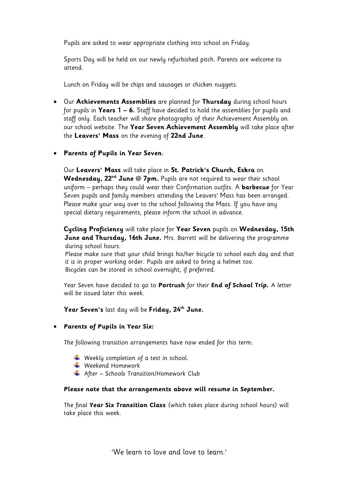Pupils are asked to wear appropriate clothing into school on Friday.

Sports Day will be held on our newly refurbished pitch. Parents are welcome to attend.

Lunch on Friday will be chips and sausages or chicken nuggets.

 Our **Achievements Assemblies** are planned for **Thursday** during school hours for pupils in **Years 1 – 6.** Staff have decided to hold the assemblies for pupils and staff only. Each teacher will share photographs of their Achievement Assembly on our school website. The **Year Seven Achievement Assembly** will take place after the **Leavers' Mass** on the evening of **22nd June**.

### **Parents of Pupils in Year Seven**:

Our **Leavers' Mass** will take place in **St. Patrick's Church, Eskra** on **Wednesday, 22nd June @ 7pm.** Pupils are not required to wear their school uniform – perhaps they could wear their Confirmation outfits. A **barbecue** for Year Seven pupils and family members attending the Leavers' Mass has been arranged. Please make your way over to the school following the Mass. If you have any special dietary requirements, please inform the school in advance.

**Cycling Proficiency** will take place for **Year Seven** pupils on **Wednesday, 15th June and Thursday, 16th June.** Mrs. Barrett will be delivering the programme during school hours.

 Please make sure that your child brings his/her bicycle to school each day and that it is in proper working order. Pupils are asked to bring a helmet too. Bicycles can be stored in school overnight, if preferred.

Year Seven have decided to go to **Portrush** for their **End of School Trip.** A letter will be issued later this week.

**Year Seven's** last day will be **Friday, 24 th June.**

#### **Parents of Pupils in Year Six:**

The following transition arrangements have now ended for this term:

- $\overline{\phantom{a} \bullet}$  Weekly completion of a test in school.
- **↓** Weekend Homework
- $\overline{\phantom{a} \bullet}$  After Schools Transition/Homework Club

#### **Please note that the arrangements above will resume in September.**

The final **Year Six Transition Class** (which takes place during school hours) will take place this week.